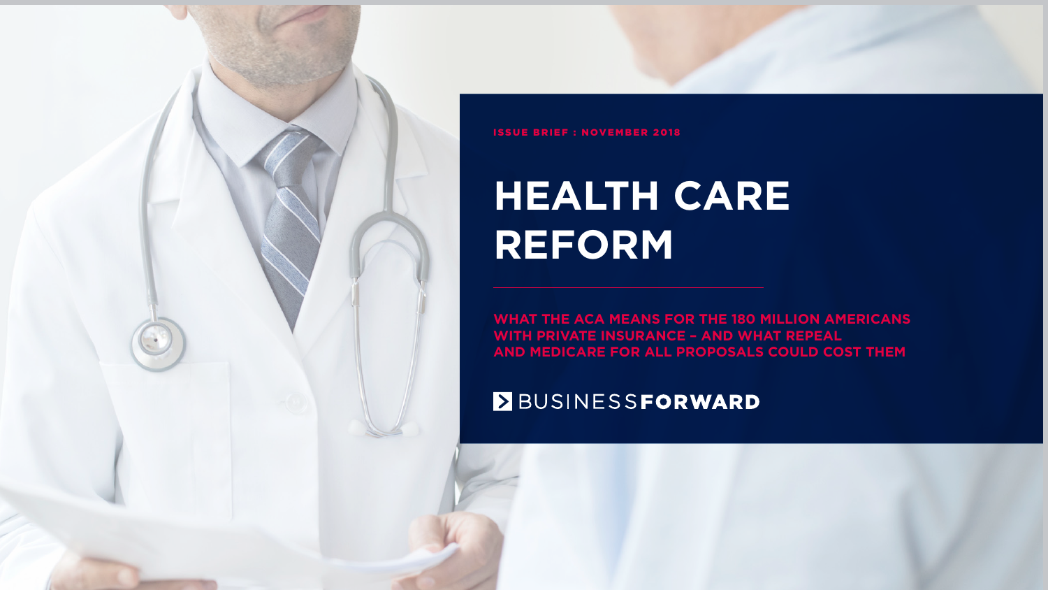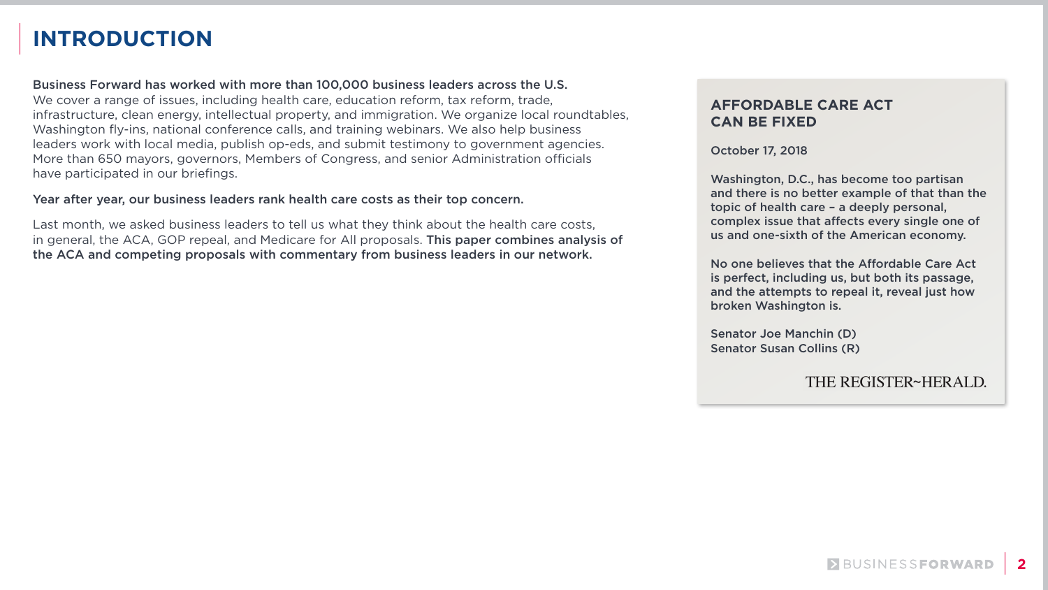**2**

# **INTRODUCTION**

Business Forward has worked with more than 100,000 business leaders across the U.S. We cover a range of issues, including health care, education reform, tax reform, trade, infrastructure, clean energy, intellectual property, and immigration. We organize local roundtables, Washington fly-ins, national conference calls, and training webinars. We also help business leaders work with local media, publish op-eds, and submit testimony to government agencies. More than 650 mayors, governors, Members of Congress, and senior Administration officials have participated in our briefings.

#### Year after year, our business leaders rank health care costs as their top concern.

Last month, we asked business leaders to tell us what they think about the health care costs, in general, the ACA, GOP repeal, and Medicare for All proposals. This paper combines analysis of the ACA and competing proposals with commentary from business leaders in our network.

### **AFFORDABLE CARE ACT CAN BE FIXED**

October 17, 2018

Washington, D.C., has become too partisan and there is no better example of that than the topic of health care – a deeply personal, complex issue that affects every single one of us and one-sixth of the American economy.

No one believes that the Affordable Care Act is perfect, including us, but both its passage, and the attempts to repeal it, reveal just how broken Washington is.

Senator Joe Manchin (D) Senator Susan Collins (R)

### THE REGISTER~HERALD.

BUSINESSFORWARD

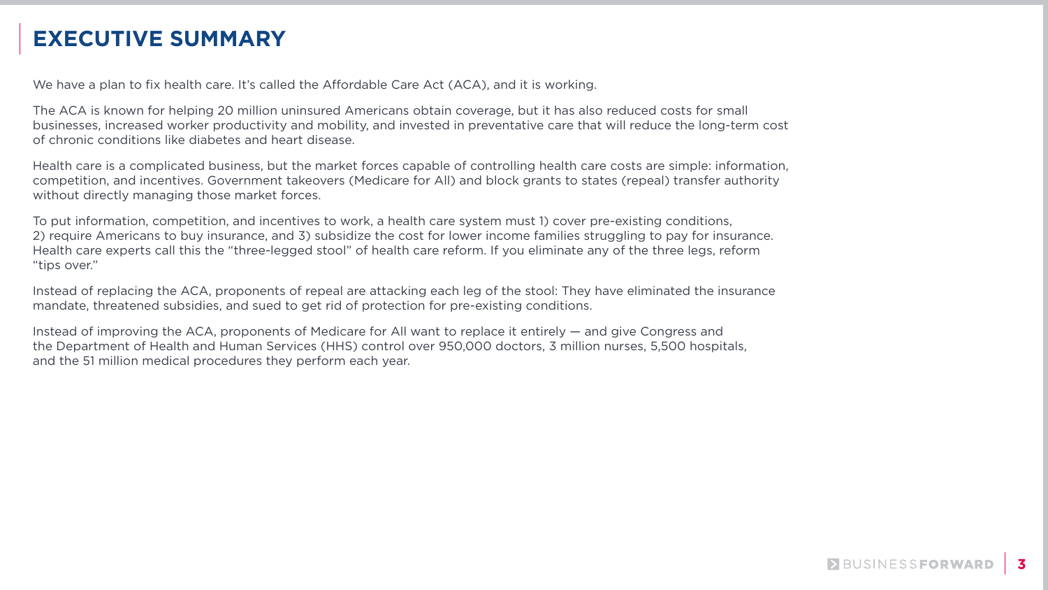

# **EXECUTIVE SUMMARY**

We have a plan to fix health care. It's called the Affordable Care Act (ACA), and it is working.

The ACA is known for helping 20 million uninsured Americans obtain coverage, but it has also reduced costs for small businesses, increased worker productivity and mobility, and invested in preventative care that will reduce the long-term cost of chronic conditions like diabetes and heart disease.

Health care is a complicated business, but the market forces capable of controlling health care costs are simple: information, competition, and incentives. Government takeovers (Medicare for All) and block grants to states (repeal) transfer authority without directly managing those market forces.

To put information, competition, and incentives to work, a health care system must 1) cover pre-existing conditions, 2) require Americans to buy insurance, and 3) subsidize the cost for lower income families struggling to pay for insurance. Health care experts call this the "three-legged stool" of health care reform. If you eliminate any of the three legs, reform "tips over."

Instead of replacing the ACA, proponents of repeal are attacking each leg of the stool: They have eliminated the insurance mandate, threatened subsidies, and sued to get rid of protection for pre-existing conditions.

Instead of improving the ACA, proponents of Medicare for All want to replace it entirely — and give Congress and the Department of Health and Human Services (HHS) control over 950,000 doctors, 3 million nurses, 5,500 hospitals, and the 51 million medical procedures they perform each year.



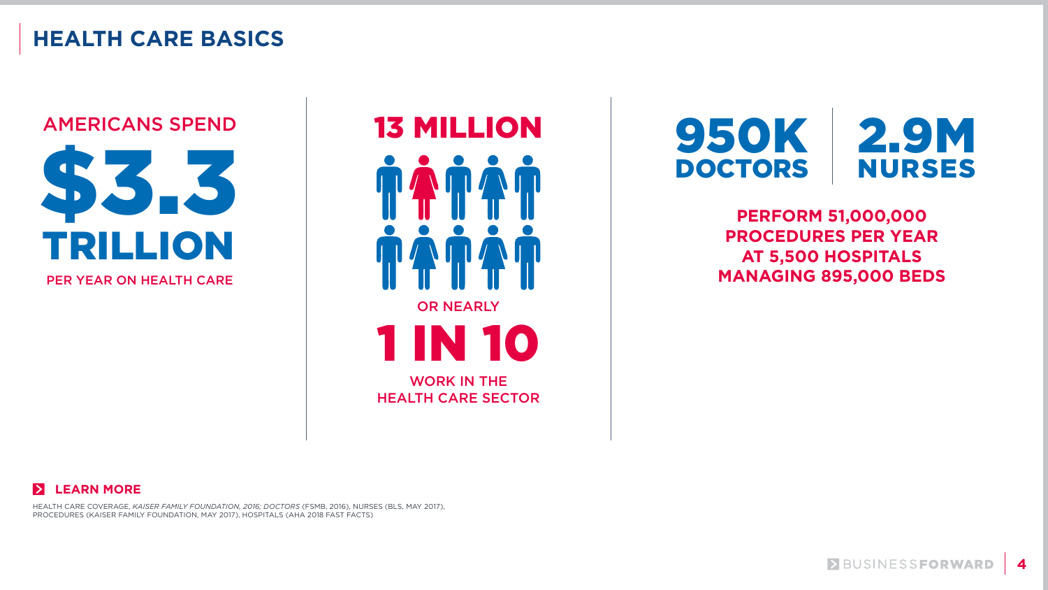

# **HEALTH CARE BASICS**



OR NEARLY 1 IN 10 13 MILLION WORK IN THE HEALTH CARE SECTOR

## **PERFORM 51,000,000 PROCEDURES PER YEAR AT 5,500 HOSPITALS MANAGING 895,000 BEDS**

BUSINESSFORWARD



### 950K DOCTORS 2.9M NURSES

HEALTH CARE COVERAGE, *KAISER FAMILY FOUNDATION, 2016; DOCTORS* (FSMB, 2016), NURSES (BLS, MAY 2017), PROCEDURES (KAISER FAMILY FOUNDATION, MAY 2017), HOSPITALS (AHA 2018 FAST FACTS)

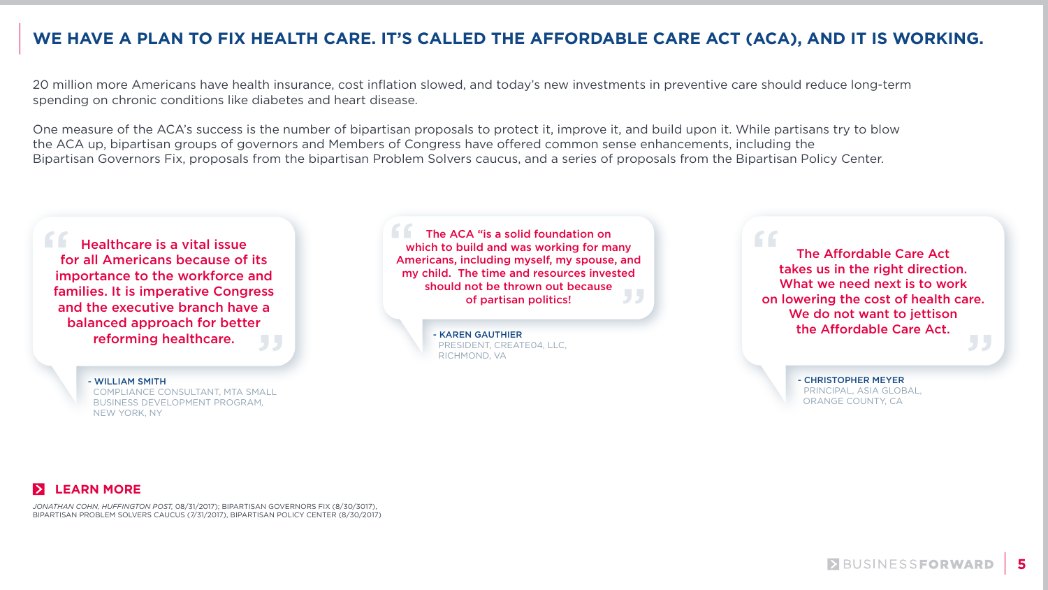

### **WE HAVE A PLAN TO FIX HEALTH CARE. IT'S CALLED THE AFFORDABLE CARE ACT (ACA), AND IT IS WORKING.**

20 million more Americans have health insurance, cost inflation slowed, and today's new investments in preventive care should reduce long-term spending on chronic conditions like diabetes and heart disease.

One measure of the ACA's success is the number of bipartisan proposals to protect it, improve it, and build upon it. While partisans try to blow the ACA up, bipartisan groups of governors and Members of Congress have offered common sense enhancements, including the Bipartisan Governors Fix, proposals from the bipartisan Problem Solvers caucus, and a series of proposals from the Bipartisan Policy Center.

Healthcare is a vital issue for all Americans because of its **Example 18 Healthcare is a vital issue<br>
for all Americans because of its<br>
importance to the workforce and** families. It is imperative Congress and the executive branch have a balanced approach for better reforming healthcare. ."<br>JJ

- KAREN GAUTHIER PRESIDENT, CREATE04, LLC, RICHMOND, VA

The ACA "is a solid foundation on which to build and was working for many Americans, including myself, my spouse, and my child. The time and resources invested<br>should not be thrown out because<br>of partisan politics! should not be thrown out because of partisan politics! "

- WILLIAM SMITH COMPLIANCE CONSULTANT, MTA SMALL BUSINESS DEVELOPMENT PROGRAM, NEW YORK, NY

- CHRISTOPHER MEYER PRINCIPAL, ASIA GLOBAL, ORANGE COUNTY, CA

**EUSINESSFORWARD** 



,<br>"

The Affordable Care Act takes us in the right direction. What we need next is to work on lowering the cost of health care. We do not want to jettison the Affordable Care Act.

*JONATHAN COHN, HUFFINGTON POST,* 08/31/2017); BIPARTISAN GOVERNORS FIX (8/30/3017), BIPARTISAN PROBLEM SOLVERS CAUCUS (7/31/2017), BIPARTISAN POLICY CENTER (8/30/2017)

### **LEARN MORE**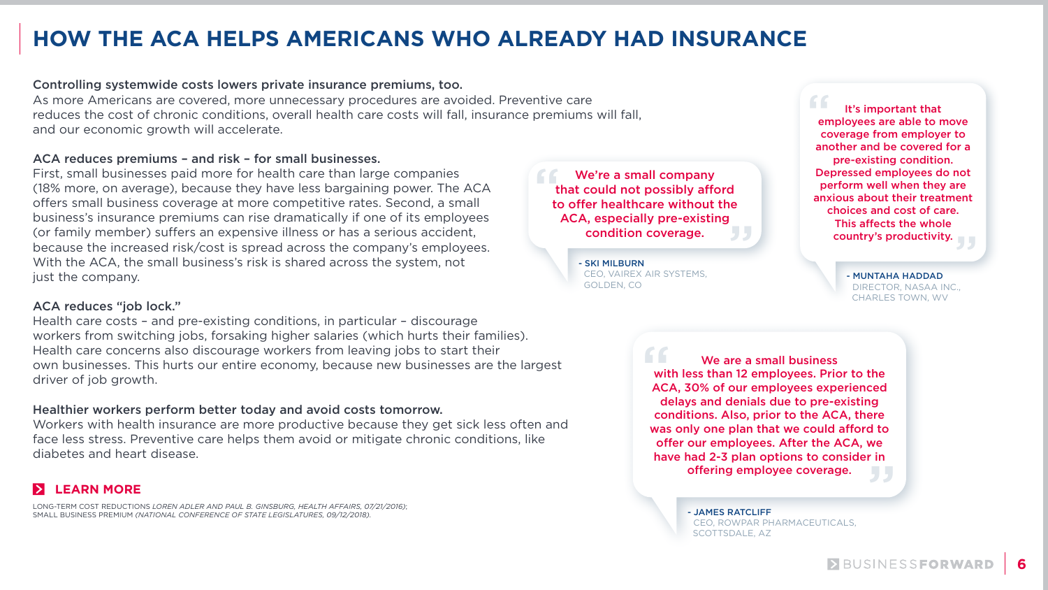

# **HOW THE ACA HELPS AMERICANS WHO ALREADY HAD INSURANCE**

#### Controlling systemwide costs lowers private insurance premiums, too.

As more Americans are covered, more unnecessary procedures are avoided. Preventive care reduces the cost of chronic conditions, overall health care costs will fall, insurance premiums will fall, and our economic growth will accelerate.

#### ACA reduces premiums – and risk – for small businesses.

First, small businesses paid more for health care than large companies (18% more, on average), because they have less bargaining power. The ACA offers small business coverage at more competitive rates. Second, a small business's insurance premiums can rise dramatically if one of its employees (or family member) suffers an expensive illness or has a serious accident, because the increased risk/cost is spread across the company's employees. With the ACA, the small business's risk is shared across the system, not just the company.

> We are a small business with less than 12 employees. Prior to the ACA, 30% of our employees experienced delays and denials due to pre-existing conditions. Also, prior to the ACA, there was only one plan that we could afford to offer our employees. After the ACA, we have had 2-3 plan options to consider in offering employee coverage. ve<br>' in<br>リリ

#### ACA reduces "job lock."

It's important that employees are able to move coverage from employer to another and be covered for a pre-existing condition. Depressed employees do not perform well when they are anxious about their treatment choices and cost of care. This affects the whole country's productivity. " ,<br>"

Health care costs – and pre-existing conditions, in particular – discourage workers from switching jobs, forsaking higher salaries (which hurts their families). Health care concerns also discourage workers from leaving jobs to start their own businesses. This hurts our entire economy, because new businesses are the largest driver of job growth.

We're a small company that could not possibly afford to offer healthcare without the ACA, especially pre-existing condition coverage. " e<br>J J

### Healthier workers perform better today and avoid costs tomorrow.

Workers with health insurance are more productive because they get sick less often and face less stress. Preventive care helps them avoid or mitigate chronic conditions, like diabetes and heart disease.

### **LEARN MORE**

- JAMES RATCLIFF CEO, ROWPAR PHARMACEUTICALS, SCOTTSDALE, AZ





- MUNTAHA HADDAD DIRECTOR, NASAA INC., CHARLES TOWN, WV

- SKI MILBURN CEO, VAIREX AIR SYSTEMS, GOLDEN, CO

LONG-TERM COST REDUCTIONS *LOREN ADLER AND PAUL B. GINSBURG, HEALTH AFFAIRS, 07/21/2016)*; SMALL BUSINESS PREMIUM *(NATIONAL CONFERENCE OF STATE LEGISLATURES, 09/12/2018).*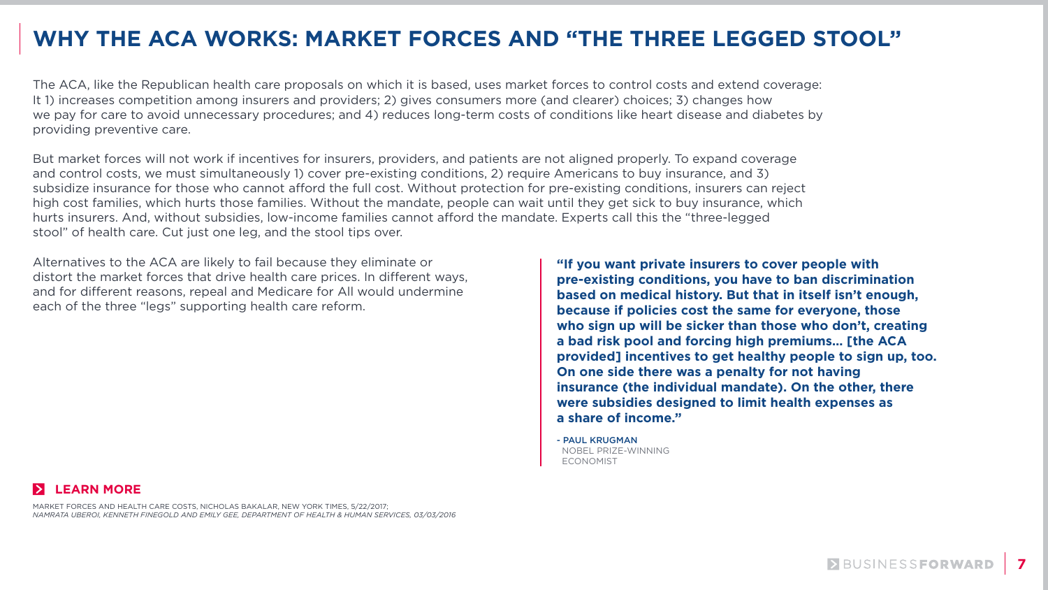

# **WHY THE ACA WORKS: MARKET FORCES AND "THE THREE LEGGED STOOL"**

The ACA, like the Republican health care proposals on which it is based, uses market forces to control costs and extend coverage: It 1) increases competition among insurers and providers; 2) gives consumers more (and clearer) choices; 3) changes how we pay for care to avoid unnecessary procedures; and 4) reduces long-term costs of conditions like heart disease and diabetes by providing preventive care.

But market forces will not work if incentives for insurers, providers, and patients are not aligned properly. To expand coverage and control costs, we must simultaneously 1) cover pre-existing conditions, 2) require Americans to buy insurance, and 3) subsidize insurance for those who cannot afford the full cost. Without protection for pre-existing conditions, insurers can reject high cost families, which hurts those families. Without the mandate, people can wait until they get sick to buy insurance, which hurts insurers. And, without subsidies, low-income families cannot afford the mandate. Experts call this the "three-legged stool" of health care. Cut just one leg, and the stool tips over.

Alternatives to the ACA are likely to fail because they eliminate or distort the market forces that drive health care prices. In different ways, and for different reasons, repeal and Medicare for All would undermine each of the three "legs" supporting health care reform.

**"If you want private insurers to cover people with pre-existing conditions, you have to ban discrimination based on medical history. But that in itself isn't enough, because if policies cost the same for everyone, those who sign up will be sicker than those who don't, creating a bad risk pool and forcing high premiums… [the ACA provided] incentives to get healthy people to sign up, too. On one side there was a penalty for not having insurance (the individual mandate). On the other, there were subsidies designed to limit health expenses as a share of income."**

- PAUL KRUGMAN NOBEL PRIZE-WINNING ECONOMIST

BUSINESSFORWARD





MARKET FORCES AND HEALTH CARE COSTS, NICHOLAS BAKALAR, NEW YORK TIMES, 5/22/2017; *NAMRATA UBEROI, KENNETH FINEGOLD AND EMILY GEE, DEPARTMENT OF HEALTH & HUMAN SERVICES, 03/03/2016*

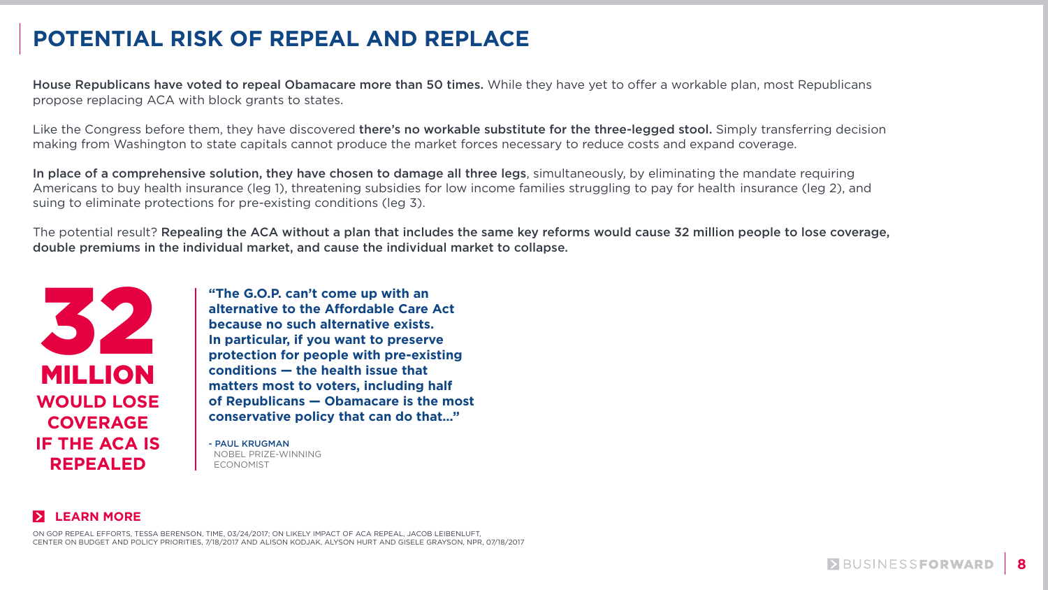

# **POTENTIAL RISK OF REPEAL AND REPLACE**

House Republicans have voted to repeal Obamacare more than 50 times. While they have yet to offer a workable plan, most Republicans propose replacing ACA with block grants to states.

Like the Congress before them, they have discovered there's no workable substitute for the three-legged stool. Simply transferring decision making from Washington to state capitals cannot produce the market forces necessary to reduce costs and expand coverage.

In place of a comprehensive solution, they have chosen to damage all three legs, simultaneously, by eliminating the mandate requiring Americans to buy health insurance (leg 1), threatening subsidies for low income families struggling to pay for health insurance (leg 2), and suing to eliminate protections for pre-existing conditions (leg 3).

The potential result? Repealing the ACA without a plan that includes the same key reforms would cause 32 million people to lose coverage, double premiums in the individual market, and cause the individual market to collapse.

> **"The G.O.P. can't come up with an alternative to the Affordable Care Act because no such alternative exists. In particular, if you want to preserve protection for people with pre-existing conditions — the health issue that matters most to voters, including half of Republicans — Obamacare is the most conservative policy that can do that…"**

- PAUL KRUGMAN NOBEL PRIZE-WINNING ECONOMIST

### **LEARN MORE**

ON GOP REPEAL EFFORTS, TESSA BERENSON, TIME, 03/24/2017; ON LIKELY IMPACT OF ACA REPEAL, JACOB LEIBENLUFT, CENTER ON BUDGET AND POLICY PRIORITIES, 7/18/2017 AND ALISON KODJAK, ALYSON HURT AND GISELE GRAYSON, NPR, 07/18/2017







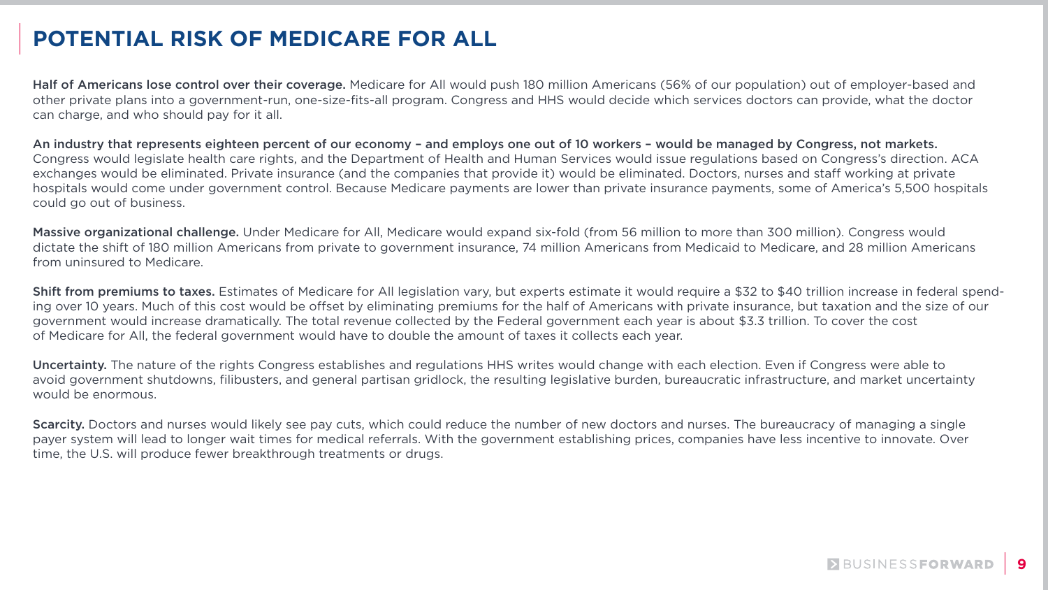

# **POTENTIAL RISK OF MEDICARE FOR ALL**

Half of Americans lose control over their coverage. Medicare for All would push 180 million Americans (56% of our population) out of employer-based and other private plans into a government-run, one-size-fits-all program. Congress and HHS would decide which services doctors can provide, what the doctor can charge, and who should pay for it all.

Massive organizational challenge. Under Medicare for All, Medicare would expand six-fold (from 56 million to more than 300 million). Congress would dictate the shift of 180 million Americans from private to government insurance, 74 million Americans from Medicaid to Medicare, and 28 million Americans from uninsured to Medicare.

An industry that represents eighteen percent of our economy – and employs one out of 10 workers – would be managed by Congress, not markets. Congress would legislate health care rights, and the Department of Health and Human Services would issue regulations based on Congress's direction. ACA exchanges would be eliminated. Private insurance (and the companies that provide it) would be eliminated. Doctors, nurses and staff working at private hospitals would come under government control. Because Medicare payments are lower than private insurance payments, some of America's 5,500 hospitals could go out of business.

Shift from premiums to taxes. Estimates of Medicare for All legislation vary, but experts estimate it would require a \$32 to \$40 trillion increase in federal spending over 10 years. Much of this cost would be offset by eliminating premiums for the half of Americans with private insurance, but taxation and the size of our government would increase dramatically. The total revenue collected by the Federal government each year is about \$3.3 trillion. To cover the cost of Medicare for All, the federal government would have to double the amount of taxes it collects each year.

Uncertainty. The nature of the rights Congress establishes and regulations HHS writes would change with each election. Even if Congress were able to avoid government shutdowns, filibusters, and general partisan gridlock, the resulting legislative burden, bureaucratic infrastructure, and market uncertainty would be enormous.

Scarcity. Doctors and nurses would likely see pay cuts, which could reduce the number of new doctors and nurses. The bureaucracy of managing a single payer system will lead to longer wait times for medical referrals. With the government establishing prices, companies have less incentive to innovate. Over time, the U.S. will produce fewer breakthrough treatments or drugs.